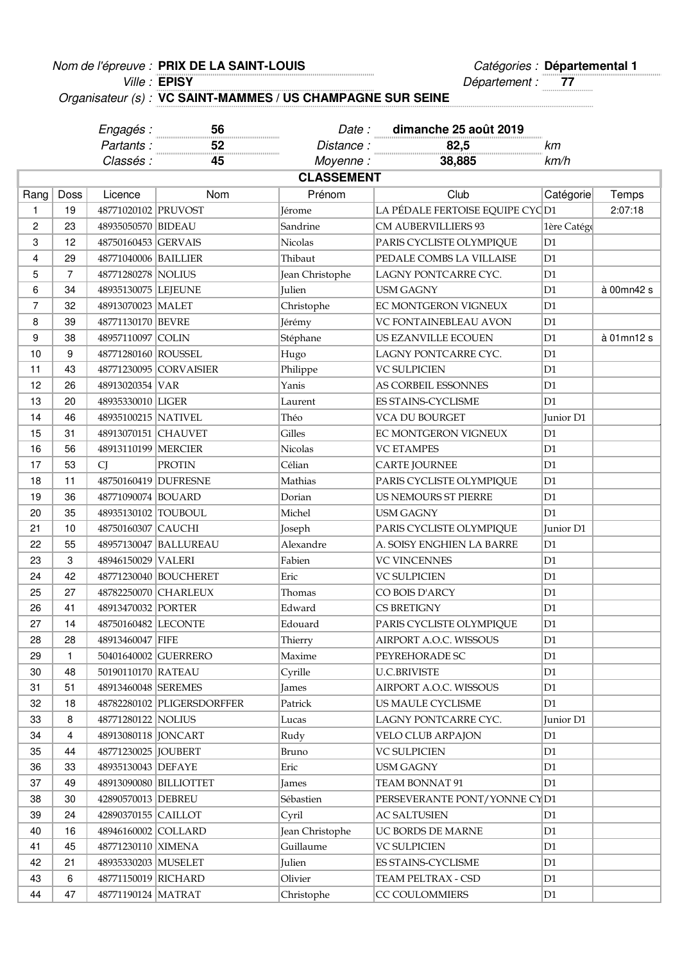## Nom de l'épreuve : Catégories : **PRIX DE LA SAINT-LOUIS Départemental 1**

**EPISY**

Ville : **EPISY Département : 77** 

Organisateur (s) : **VC SAINT-MAMMES / US CHAMPAGNE SUR SEINE**

| Engagés :        | 56 | Date :            | dimanche 25 août 2019 |      |
|------------------|----|-------------------|-----------------------|------|
| Partants :       | 52 | <i>Distance :</i> | 82.5                  | κт   |
| <i>Classés :</i> | 45 | Moyenne :         | 38,885                | km/h |
|                  |    | <b>CLASSEMENT</b> |                       |      |

| Rang | Doss | Licence              | Nom                        | Prénom          | Club                            | Catégorie      | Temps          |
|------|------|----------------------|----------------------------|-----------------|---------------------------------|----------------|----------------|
| 1    | 19   | 48771020102 PRUVOST  |                            | Jérome          | LA PÉDALE FERTOISE EQUIPE CYCD1 |                | 2:07:18        |
| 2    | 23   | 48935050570 BIDEAU   |                            | Sandrine        | <b>CM AUBERVILLIERS 93</b>      | 1ère Catégo    |                |
| 3    | 12   | 48750160453 GERVAIS  |                            | Nicolas         | PARIS CYCLISTE OLYMPIQUE        | D1             |                |
| 4    | 29   | 48771040006 BAILLIER |                            | Thibaut         | PEDALE COMBS LA VILLAISE        | D1             |                |
| 5    | 7    | 48771280278 NOLIUS   |                            | Jean Christophe | LAGNY PONTCARRE CYC.            | D1             |                |
| 6    | 34   | 48935130075 LEJEUNE  |                            | Julien          | <b>USM GAGNY</b>                | D1             | à 00mn42 s     |
| 7    | 32   | 48913070023 MALET    |                            | Christophe      | EC MONTGERON VIGNEUX            | D1             |                |
| 8    | 39   | 48771130170 BEVRE    |                            | Jérémy          | VC FONTAINEBLEAU AVON           | D1             |                |
| 9    | 38   | 48957110097 COLIN    |                            | Stéphane        | US EZANVILLE ECOUEN             | D1             | $à$ 01 $mn12s$ |
| 10   | 9    | 48771280160 ROUSSEL  |                            | Hugo            | LAGNY PONTCARRE CYC.            | D1             |                |
| 11   | 43   |                      | 48771230095 CORVAISIER     | Philippe        | VC SULPICIEN                    | D1             |                |
| 12   | 26   | 48913020354 VAR      |                            | Yanis           | AS CORBEIL ESSONNES             | D1             |                |
| 13   | 20   | 48935330010 LIGER    |                            | Laurent         | ES STAINS-CYCLISME              | D1             |                |
| 14   | 46   | 48935100215 NATIVEL  |                            | Théo            | VCA DU BOURGET                  | Junior D1      |                |
| 15   | 31   | 48913070151 CHAUVET  |                            | Gilles          | EC MONTGERON VIGNEUX            | D1             |                |
| 16   | 56   | 48913110199 MERCIER  |                            | Nicolas         | <b>VC ETAMPES</b>               | D1             |                |
| 17   | 53   | CJ                   | <b>PROTIN</b>              | Célian          | <b>CARTE JOURNEE</b>            | D1             |                |
| 18   | 11   | 48750160419 DUFRESNE |                            | Mathias         | PARIS CYCLISTE OLYMPIQUE        | D1             |                |
| 19   | 36   | 48771090074 BOUARD   |                            | Dorian          | US NEMOURS ST PIERRE            | D1             |                |
| 20   | 35   | 48935130102 TOUBOUL  |                            | Michel          | <b>USM GAGNY</b>                | D1             |                |
| 21   | 10   | 48750160307 CAUCHI   |                            | Joseph          | PARIS CYCLISTE OLYMPIQUE        | Junior D1      |                |
| 22   | 55   |                      | 48957130047 BALLUREAU      | Alexandre       | A. SOISY ENGHIEN LA BARRE       | D1             |                |
| 23   | 3    | 48946150029 VALERI   |                            | Fabien          | <b>VC VINCENNES</b>             | D1             |                |
| 24   | 42   |                      | 48771230040 BOUCHERET      | Eric            | VC SULPICIEN                    | D1             |                |
| 25   | 27   |                      | 48782250070 CHARLEUX       | Thomas          | CO BOIS D'ARCY                  | D1             |                |
| 26   | 41   | 48913470032 PORTER   |                            | Edward          | CS BRETIGNY                     | D1             |                |
| 27   | 14   | 48750160482 LECONTE  |                            | Edouard         | PARIS CYCLISTE OLYMPIQUE        | D1             |                |
| 28   | 28   | 48913460047 FIFE     |                            | Thierry         | AIRPORT A.O.C. WISSOUS          | D1             |                |
| 29   | 1    | 50401640002 GUERRERO |                            | Maxime          | PEYREHORADE SC                  | D1             |                |
| 30   | 48   | 50190110170 RATEAU   |                            | Cyrille         | <b>U.C.BRIVISTE</b>             | D1             |                |
| 31   | 51   | 48913460048 SEREMES  |                            | James           | AIRPORT A.O.C. WISSOUS          | D1             |                |
| 32   | 18   |                      | 48782280102 PLIGERSDORFFER | Patrick         | US MAULE CYCLISME               | D1             |                |
| 33   | 8    | 48771280122 NOLIUS   |                            | Lucas           | LAGNY PONTCARRE CYC.            | Junior D1      |                |
| 34   | 4    | 48913080118 JONCART  |                            | Rudy            | VELO CLUB ARPAJON               | D1             |                |
| 35   | 44   | 48771230025 JOUBERT  |                            | Bruno           | VC SULPICIEN                    | D1             |                |
| 36   | 33   | 48935130043 DEFAYE   |                            | Eric            | USM GAGNY                       | D1             |                |
| 37   | 49   |                      | 48913090080 BILLIOTTET     | James           | TEAM BONNAT 91                  | D1             |                |
| 38   | 30   | 42890570013 DEBREU   |                            | Sébastien       | PERSEVERANTE PONT/YONNE CYD1    |                |                |
| 39   | 24   | 42890370155 CAILLOT  |                            | Cyril           | <b>AC SALTUSIEN</b>             | D <sub>1</sub> |                |
| 40   | 16   | 48946160002 COLLARD  |                            | Jean Christophe | UC BORDS DE MARNE               | D1             |                |
| 41   | 45   | 48771230110 XIMENA   |                            | Guillaume       | VC SULPICIEN                    | D1             |                |
| 42   | 21   | 48935330203 MUSELET  |                            | Julien          | ES STAINS-CYCLISME              | D1             |                |
| 43   | 6    | 48771150019 RICHARD  |                            | Olivier         | TEAM PELTRAX - CSD              | D1             |                |
| 44   | 47   | 48771190124 MATRAT   |                            | Christophe      | CC COULOMMIERS                  | D1             |                |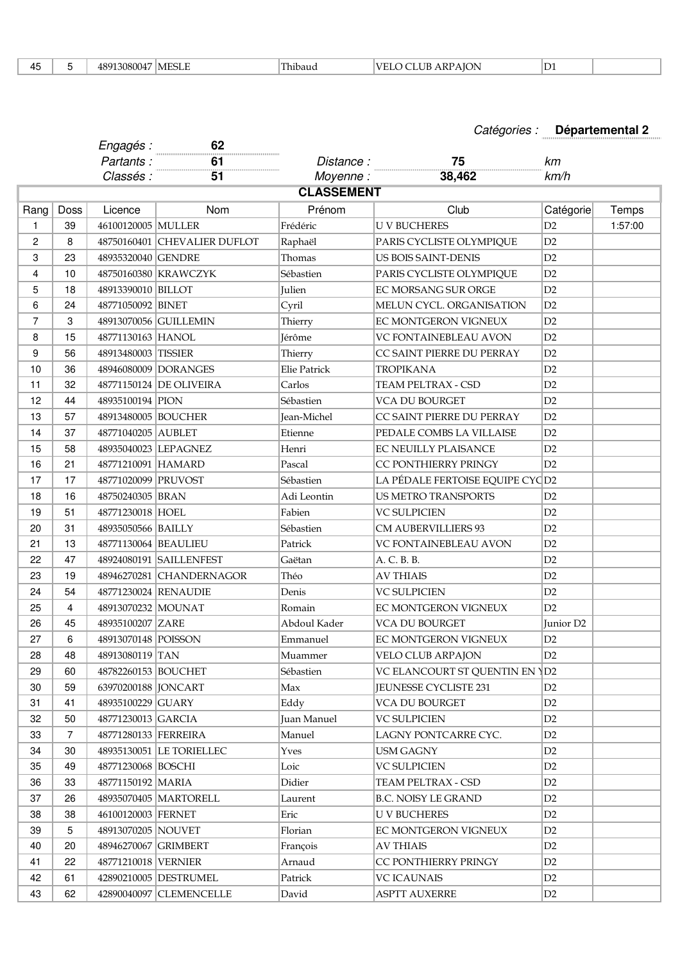| $\overline{\phantom{0}}$<br>-45 |  | 1308004"<br>4891 | <b>MESLE</b> | —<br>`hibauc | AION<br>ΑR<br>$V_F$<br>$\sim$ | $\mathbf{L}$<br>ື |  |
|---------------------------------|--|------------------|--------------|--------------|-------------------------------|-------------------|--|
|---------------------------------|--|------------------|--------------|--------------|-------------------------------|-------------------|--|

## **N° /Catégories : Départemental 2**

|                |      | Engagés :            | 62                           |                     |                                  |                |         |
|----------------|------|----------------------|------------------------------|---------------------|----------------------------------|----------------|---------|
|                |      | Partants:            | 61                           | Distance:           | 75                               | km             |         |
|                |      | Classés :            | 51                           | Moyenne:            | 38,462                           | km/h           |         |
|                |      |                      |                              | <b>CLASSEMENT</b>   |                                  |                |         |
| Rang           | Doss | Licence              | Nom                          | Prénom              | Club                             | Catégorie      | Temps   |
| 1              | 39   | 46100120005 MULLER   |                              | Frédéric            | <b>U V BUCHERES</b>              | D2             | 1:57:00 |
| $\overline{c}$ | 8    |                      | 48750160401 CHEVALIER DUFLOT | Raphaël             | PARIS CYCLISTE OLYMPIQUE         | D2             |         |
| 3              | 23   | 48935320040 GENDRE   |                              | Thomas              | <b>US BOIS SAINT-DENIS</b>       | D2             |         |
| 4              | 10   |                      | 48750160380 KRAWCZYK         | Sébastien           | PARIS CYCLISTE OLYMPIQUE         | D2             |         |
| 5              | 18   | 48913390010 BILLOT   |                              | Julien              | <b>EC MORSANG SUR ORGE</b>       | D2             |         |
| 6              | 24   | 48771050092 BINET    |                              | Cyril               | MELUN CYCL. ORGANISATION         | D2             |         |
| $\overline{7}$ | 3    |                      | 48913070056 GUILLEMIN        | Thierry             | <b>EC MONTGERON VIGNEUX</b>      | D2             |         |
| 8              | 15   | 48771130163 HANOL    |                              | Jérôme              | VC FONTAINEBLEAU AVON            | D2             |         |
| 9              | 56   | 48913480003 TISSIER  |                              | Thierry             | CC SAINT PIERRE DU PERRAY        | D2             |         |
| 10             | 36   |                      | 48946080009 DORANGES         | <b>Elie Patrick</b> | <b>TROPIKANA</b>                 | D2             |         |
| 11             | 32   |                      | 48771150124 DE OLIVEIRA      | Carlos              | TEAM PELTRAX - CSD               | D2             |         |
| 12             | 44   | 48935100194 PION     |                              | Sébastien           | VCA DU BOURGET                   | D2             |         |
| 13             | 57   | 48913480005 BOUCHER  |                              | <b>Jean-Michel</b>  | CC SAINT PIERRE DU PERRAY        | D2             |         |
| 14             | 37   | 48771040205 AUBLET   |                              | Etienne             | PEDALE COMBS LA VILLAISE         | D2             |         |
| 15             | 58   | 48935040023 LEPAGNEZ |                              | Henri               | <b>EC NEUILLY PLAISANCE</b>      | D2             |         |
| 16             | 21   | 48771210091 HAMARD   |                              | Pascal              | CC PONTHIERRY PRINGY             | D2             |         |
| 17             | 17   | 48771020099 PRUVOST  |                              | Sébastien           | LA PÉDALE FERTOISE EQUIPE CYC D2 |                |         |
| 18             | 16   | 48750240305 BRAN     |                              | Adi Leontin         | <b>US METRO TRANSPORTS</b>       | D2             |         |
| 19             | 51   | 48771230018 HOEL     |                              | Fabien              | <b>VC SULPICIEN</b>              | D <sub>2</sub> |         |
| 20             | 31   | 48935050566 BAILLY   |                              | Sébastien           | <b>CM AUBERVILLIERS 93</b>       | D2             |         |
| 21             | 13   | 48771130064 BEAULIEU |                              | Patrick             | VC FONTAINEBLEAU AVON            | D2             |         |
| 22             | 47   |                      | 48924080191 SAILLENFEST      | Gaëtan              | A. C. B. B.                      | D <sub>2</sub> |         |
| 23             | 19   |                      | 48946270281 CHANDERNAGOR     | Théo                | <b>AV THIAIS</b>                 | D2             |         |
| 24             | 54   | 48771230024 RENAUDIE |                              | Denis               | <b>VC SULPICIEN</b>              | D2             |         |
| 25             | 4    | 48913070232 MOUNAT   |                              | Romain              | <b>EC MONTGERON VIGNEUX</b>      | D2             |         |
| 26             | 45   | 48935100207 ZARE     |                              | Abdoul Kader        | <b>VCA DU BOURGET</b>            | Junior D2      |         |
| 27             | 6    | 48913070148 POISSON  |                              | Emmanuel            | <b>EC MONTGERON VIGNEUX</b>      | D2             |         |
| 28             | 48   | 48913080119 TAN      |                              | Muammer             | VELO CLUB ARPAJON                | D <sub>2</sub> |         |
| 29             | 60   | 48782260153 BOUCHET  |                              | Sébastien           | VC ELANCOURT ST QUENTIN EN 1D2   |                |         |
| 30             | 59   | 63970200188 JONCART  |                              | Max                 | JEUNESSE CYCLISTE 231            | D2             |         |
| 31             | 41   | 48935100229 GUARY    |                              | Eddy                | VCA DU BOURGET                   | D2             |         |
| 32             | 50   | 48771230013 GARCIA   |                              | Juan Manuel         | <b>VC SULPICIEN</b>              | D2             |         |
| 33             | 7    | 48771280133 FERREIRA |                              | Manuel              | LAGNY PONTCARRE CYC.             | D2             |         |
| 34             | 30   |                      | 48935130051 LE TORIELLEC     | Yves                | USM GAGNY                        | D2             |         |
| 35             | 49   | 48771230068 BOSCHI   |                              | Loic                | <b>VC SULPICIEN</b>              | D2             |         |
| 36             | 33   | 48771150192 MARIA    |                              | Didier              | TEAM PELTRAX - CSD               | D2             |         |
| 37             | 26   |                      | 48935070405 MARTORELL        | Laurent             | <b>B.C. NOISY LE GRAND</b>       | D2             |         |
| 38             | 38   | 46100120003 FERNET   |                              | Eric                | <b>U V BUCHERES</b>              | D2             |         |
| 39             | 5    | 48913070205 NOUVET   |                              | Florian             | EC MONTGERON VIGNEUX             | D2             |         |
| 40             | 20   | 48946270067 GRIMBERT |                              | François            | <b>AV THIAIS</b>                 | D2             |         |
| 41             | 22   | 48771210018 VERNIER  |                              | Arnaud              | CC PONTHIERRY PRINGY             | D2             |         |
| 42             | 61   |                      | 42890210005 DESTRUMEL        | Patrick             | <b>VC ICAUNAIS</b>               | D2             |         |
| 43             | 62   |                      | 42890040097 CLEMENCELLE      | David               | <b>ASPTT AUXERRE</b>             | D2             |         |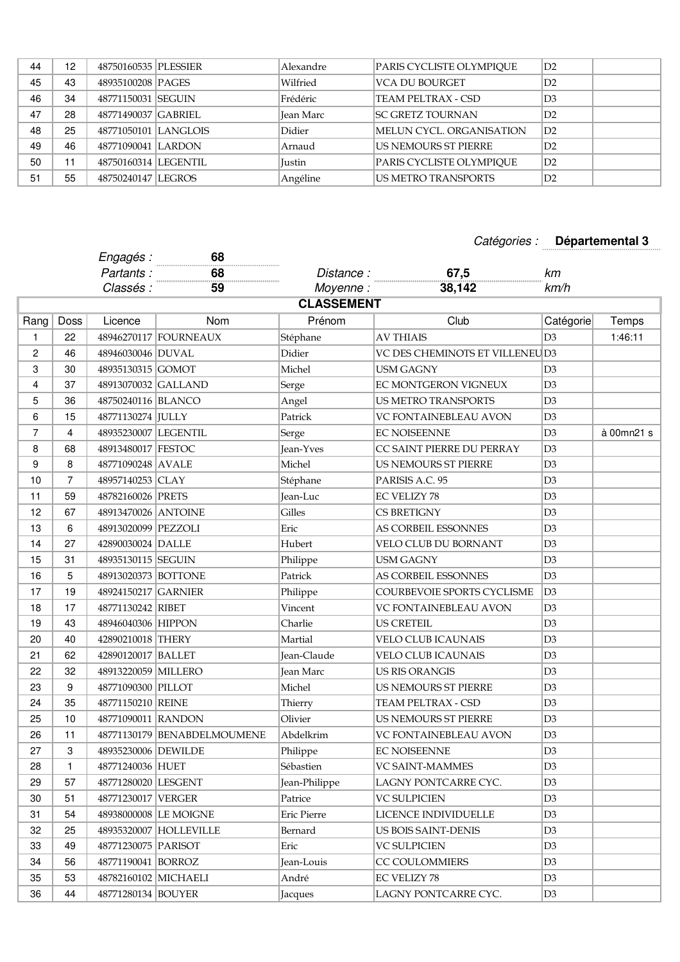| 44 | 12 | 48750160535 PLESSIER | Alexandre        | PARIS CYCLISTE OLYMPIOUE   | D2              |  |
|----|----|----------------------|------------------|----------------------------|-----------------|--|
| 45 | 43 | 48935100208 PAGES    | Wilfried         | VCA DU BOURGET             | D2              |  |
| 46 | 34 | 48771150031 SEGUIN   | Frédéric         | <b>TEAM PELTRAX - CSD</b>  | D3              |  |
| 47 | 28 | 48771490037 GABRIEL  | <b>Jean Marc</b> | <b>SC GRETZ TOURNAN</b>    | D2              |  |
| 48 | 25 | 48771050101 LANGLOIS | Didier           | MELUN CYCL. ORGANISATION   | $\overline{D2}$ |  |
| 49 | 46 | 48771090041 LARDON   | Arnaud           | US NEMOURS ST PIERRE       | D2              |  |
| 50 | 11 | 48750160314 LEGENTIL | <b>Iustin</b>    | PARIS CYCLISTE OLYMPIOUE   | D2              |  |
| 51 | 55 | 48750240147 LEGROS   | Angéline         | <b>US METRO TRANSPORTS</b> | D2              |  |

## Catégories : **Départemental 3**

|      |                | Engagés :            | 68                          |                   |                                |                |            |
|------|----------------|----------------------|-----------------------------|-------------------|--------------------------------|----------------|------------|
|      |                | Partants:            | 68                          | Distance:         | 67,5                           | km             |            |
|      |                | Classés :            | $\overline{59}$             | Moyenne:          | 38,142                         | km/h           |            |
|      |                |                      |                             | <b>CLASSEMENT</b> |                                |                |            |
| Rang | Doss           | Licence              | Nom                         | Prénom            | Club                           | Catégorie      | Temps      |
| 1    | 22             |                      | 48946270117 FOURNEAUX       | Stéphane          | <b>AV THIAIS</b>               | D3             | 1:46:11    |
| 2    | 46             | 48946030046 DUVAL    |                             | Didier            | VC DES CHEMINOTS ET VILLENEUD3 |                |            |
| 3    | 30             | 48935130315 GOMOT    |                             | Michel            | <b>USM GAGNY</b>               | D <sub>3</sub> |            |
| 4    | 37             | 48913070032 GALLAND  |                             | Serge             | EC MONTGERON VIGNEUX           | D3             |            |
| 5    | 36             | 48750240116 BLANCO   |                             | Angel             | <b>US METRO TRANSPORTS</b>     | D <sub>3</sub> |            |
| 6    | 15             | 48771130274 JULLY    |                             | Patrick           | VC FONTAINEBLEAU AVON          | D <sub>3</sub> |            |
| 7    | 4              | 48935230007 LEGENTIL |                             | Serge             | <b>EC NOISEENNE</b>            | D <sub>3</sub> | à 00mn21 s |
| 8    | 68             | 48913480017 FESTOC   |                             | Jean-Yves         | CC SAINT PIERRE DU PERRAY      | D <sub>3</sub> |            |
| 9    | 8              | 48771090248 AVALE    |                             | Michel            | US NEMOURS ST PIERRE           | D <sub>3</sub> |            |
| 10   | $\overline{7}$ | 48957140253 CLAY     |                             | Stéphane          | PARISIS A.C. 95                | D3             |            |
| 11   | 59             | 48782160026 PRETS    |                             | Jean-Luc          | <b>EC VELIZY 78</b>            | D <sub>3</sub> |            |
| 12   | 67             | 48913470026 ANTOINE  |                             | Gilles            | CS BRETIGNY                    | D <sub>3</sub> |            |
| 13   | 6              | 48913020099 PEZZOLI  |                             | Eric              | AS CORBEIL ESSONNES            | D <sub>3</sub> |            |
| 14   | 27             | 42890030024 DALLE    |                             | Hubert            | VELO CLUB DU BORNANT           | D <sub>3</sub> |            |
| 15   | 31             | 48935130115 SEGUIN   |                             | Philippe          | <b>USM GAGNY</b>               | D <sub>3</sub> |            |
| 16   | 5              | 48913020373 BOTTONE  |                             | Patrick           | <b>AS CORBEIL ESSONNES</b>     | D <sub>3</sub> |            |
| 17   | 19             | 48924150217 GARNIER  |                             | Philippe          | COURBEVOIE SPORTS CYCLISME     | D <sub>3</sub> |            |
| 18   | 17             | 48771130242 RIBET    |                             | Vincent           | VC FONTAINEBLEAU AVON          | D <sub>3</sub> |            |
| 19   | 43             | 48946040306 HIPPON   |                             | Charlie           | US CRETEIL                     | D <sub>3</sub> |            |
| 20   | 40             | 42890210018 THERY    |                             | Martial           | <b>VELO CLUB ICAUNAIS</b>      | D <sub>3</sub> |            |
| 21   | 62             | 42890120017 BALLET   |                             | Jean-Claude       | <b>VELO CLUB ICAUNAIS</b>      | D3             |            |
| 22   | 32             | 48913220059 MILLERO  |                             | Jean Marc         | <b>US RIS ORANGIS</b>          | D <sub>3</sub> |            |
| 23   | 9              | 48771090300 PILLOT   |                             | Michel            | US NEMOURS ST PIERRE           | D <sub>3</sub> |            |
| 24   | 35             | 48771150210 REINE    |                             | Thierry           | TEAM PELTRAX - CSD             | D <sub>3</sub> |            |
| 25   | 10             | 48771090011 RANDON   |                             | Olivier           | US NEMOURS ST PIERRE           | D <sub>3</sub> |            |
| 26   | 11             |                      | 48771130179 BENABDELMOUMENE | Abdelkrim         | VC FONTAINEBLEAU AVON          | D <sub>3</sub> |            |
| 27   | 3              | 48935230006 DEWILDE  |                             | Philippe          | <b>EC NOISEENNE</b>            | D <sub>3</sub> |            |
| 28   | $\mathbf{1}$   | 48771240036 HUET     |                             | Sébastien         | <b>VC SAINT-MAMMES</b>         | D <sub>3</sub> |            |
| 29   | 57             | 48771280020 LESGENT  |                             | Jean-Philippe     | LAGNY PONTCARRE CYC.           | D <sub>3</sub> |            |
| 30   | 51             | 48771230017 VERGER   |                             | Patrice           | VC SULPICIEN                   | D <sub>3</sub> |            |
| 31   | 54             |                      | 48938000008 LE MOIGNE       | Eric Pierre       | LICENCE INDIVIDUELLE           | D <sub>3</sub> |            |
| 32   | 25             |                      | 48935320007 HOLLEVILLE      | Bernard           | US BOIS SAINT-DENIS            | D <sub>3</sub> |            |
| 33   | 49             | 48771230075 PARISOT  |                             | Eric              | VC SULPICIEN                   | D <sub>3</sub> |            |
| 34   | 56             | 48771190041 BORROZ   |                             | Jean-Louis        | CC COULOMMIERS                 | D <sub>3</sub> |            |
| 35   | 53             | 48782160102 MICHAELI |                             | André             | <b>EC VELIZY 78</b>            | D <sub>3</sub> |            |
| 36   | 44             | 48771280134 BOUYER   |                             | Jacques           | LAGNY PONTCARRE CYC.           | D <sub>3</sub> |            |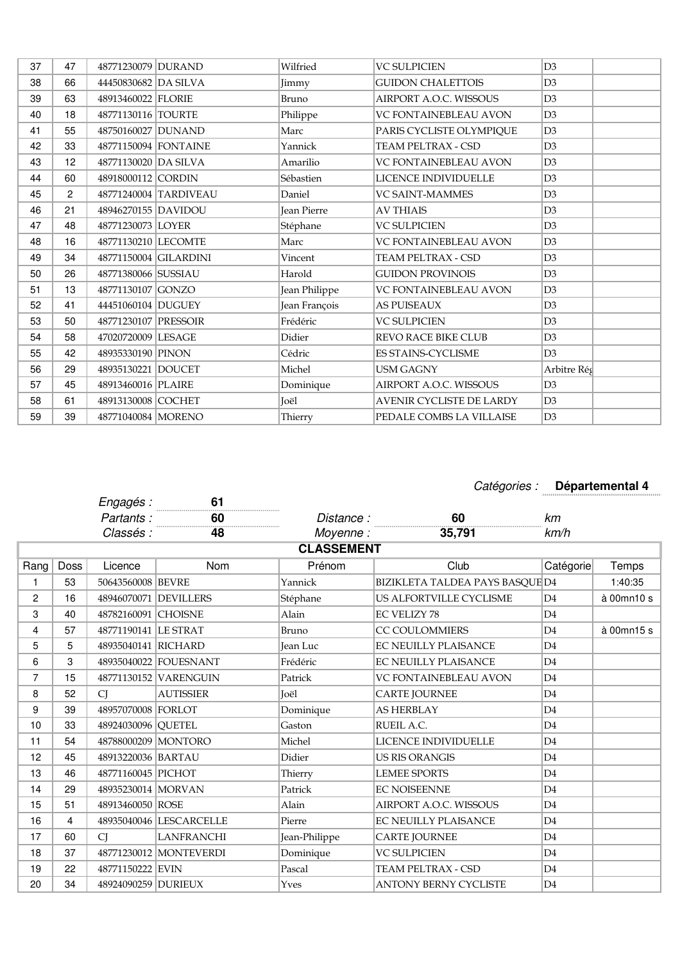| 37 | 47             | 48771230079 DURAND    |                       | Wilfried      | <b>VC SULPICIEN</b>             | D <sub>3</sub> |
|----|----------------|-----------------------|-----------------------|---------------|---------------------------------|----------------|
| 38 | 66             | 44450830682 DA SILVA  |                       | Jimmy         | <b>GUIDON CHALETTOIS</b>        | D3             |
| 39 | 63             | 48913460022 FLORIE    |                       | Bruno         | AIRPORT A.O.C. WISSOUS          | D <sub>3</sub> |
| 40 | 18             | 48771130116 TOURTE    |                       | Philippe      | <b>VC FONTAINEBLEAU AVON</b>    | D3             |
| 41 | 55             | 48750160027 DUNAND    |                       | Marc          | PARIS CYCLISTE OLYMPIQUE        | D <sub>3</sub> |
| 42 | 33             | 48771150094 FONTAINE  |                       | Yannick       | <b>TEAM PELTRAX - CSD</b>       | D3             |
| 43 | 12             | 48771130020 DA SILVA  |                       | Amarilio      | VC FONTAINEBLEAU AVON           | D3             |
| 44 | 60             | 48918000112 CORDIN    |                       | Sébastien     | LICENCE INDIVIDUELLE            | D3             |
| 45 | $\overline{c}$ |                       | 48771240004 TARDIVEAU | Daniel        | <b>VC SAINT-MAMMES</b>          | D <sub>3</sub> |
| 46 | 21             | 48946270155 DAVIDOU   |                       | Jean Pierre   | <b>AV THIAIS</b>                | D3             |
| 47 | 48             | 48771230073 LOYER     |                       | Stéphane      | VC SULPICIEN                    | D <sub>3</sub> |
| 48 | 16             | 48771130210 LECOMTE   |                       | Marc          | <b>VC FONTAINEBLEAU AVON</b>    | D3             |
| 49 | 34             | 48771150004 GILARDINI |                       | Vincent       | TEAM PELTRAX - CSD              | D3             |
| 50 | 26             | 48771380066 SUSSIAU   |                       | Harold        | <b>GUIDON PROVINOIS</b>         | D <sub>3</sub> |
| 51 | 13             | 48771130107 GONZO     |                       | Jean Philippe | VC FONTAINEBLEAU AVON           | D3             |
| 52 | 41             | 44451060104 DUGUEY    |                       | Jean François | <b>AS PUISEAUX</b>              | D3             |
| 53 | 50             | 48771230107 PRESSOIR  |                       | Frédéric      | <b>VC SULPICIEN</b>             | D3             |
| 54 | 58             | 47020720009 LESAGE    |                       | Didier        | REVO RACE BIKE CLUB             | D3             |
| 55 | 42             | 48935330190 PINON     |                       | Cédric        | ES STAINS-CYCLISME              | D <sub>3</sub> |
| 56 | 29             | 48935130221 DOUCET    |                       | Michel        | <b>USM GAGNY</b>                | Arbitre Rég    |
| 57 | 45             | 48913460016 PLAIRE    |                       | Dominique     | AIRPORT A.O.C. WISSOUS          | D <sub>3</sub> |
| 58 | 61             | 48913130008 COCHET    |                       | Joël          | <b>AVENIR CYCLISTE DE LARDY</b> | D3             |
| 59 | 39             | 48771040084 MORENO    |                       | Thierry       | PEDALE COMBS LA VILLAISE        | D <sub>3</sub> |

## Catégories : **Départemental 4**. . . . .

|                |      | Engagés :            | 61                                                 |                   |                                                    |                 |            |
|----------------|------|----------------------|----------------------------------------------------|-------------------|----------------------------------------------------|-----------------|------------|
|                |      | Partants:            | $\begin{array}{c c} & 60 \\ \hline 48 \end{array}$ | Distance :        | 60                                                 | km              |            |
|                |      | Classés :            |                                                    | Moyenne:          | $\begin{array}{c}\n\bullet \\ 35,791\n\end{array}$ | km/h            |            |
|                |      |                      |                                                    | <b>CLASSEMENT</b> |                                                    |                 |            |
| Rang           | Doss | Licence              | Nom                                                | Prénom            | Club                                               | Catégorie       | Temps      |
| 1              | 53   | 50643560008 BEVRE    |                                                    | Yannick           | BIZIKLETA TALDEA PAYS BASQUE D4                    |                 | 1:40:35    |
| $\overline{c}$ | 16   |                      | 48946070071 DEVILLERS                              | Stéphane          | US ALFORTVILLE CYCLISME                            | D <sub>4</sub>  | à 00mn10 s |
| 3              | 40   | 48782160091 CHOISNE  |                                                    | Alain             | EC VELIZY 78                                       | D <sub>4</sub>  |            |
| 4              | 57   | 48771190141 LE STRAT |                                                    | Bruno             | CC COULOMMIERS                                     | $\overline{D4}$ | à 00mn15 s |
| 5              | 5    | 48935040141 RICHARD  |                                                    | Jean Luc          | EC NEUILLY PLAISANCE                               | D <sub>4</sub>  |            |
| 6              | 3    |                      | 48935040022 FOUESNANT                              | Frédéric          | <b>EC NEUILLY PLAISANCE</b>                        | D <sub>4</sub>  |            |
| $\overline{7}$ | 15   |                      | 48771130152 VARENGUIN                              | Patrick           | VC FONTAINEBLEAU AVON                              | $\overline{D4}$ |            |
| 8              | 52   | <b>CI</b>            | <b>AUTISSIER</b>                                   | <b>Toël</b>       | <b>CARTE JOURNEE</b>                               | D <sub>4</sub>  |            |
| 9              | 39   | 48957070008 FORLOT   |                                                    | Dominique         | <b>AS HERBLAY</b>                                  | D <sub>4</sub>  |            |
| 10             | 33   | 48924030096 QUETEL   |                                                    | Gaston            | RUEIL A.C.                                         | D <sub>4</sub>  |            |
| 11             | 54   | 48788000209 MONTORO  |                                                    | Michel            | LICENCE INDIVIDUELLE                               | $\overline{D4}$ |            |
| 12             | 45   | 48913220036 BARTAU   |                                                    | Didier            | <b>US RIS ORANGIS</b>                              | D <sub>4</sub>  |            |
| 13             | 46   | 48771160045 PICHOT   |                                                    | Thierry           | <b>LEMEE SPORTS</b>                                | $\overline{D4}$ |            |
| 14             | 29   | 48935230014 MORVAN   |                                                    | Patrick           | <b>EC NOISEENNE</b>                                | D <sub>4</sub>  |            |
| 15             | 51   | 48913460050 ROSE     |                                                    | Alain             | AIRPORT A.O.C. WISSOUS                             | D <sub>4</sub>  |            |
| 16             | 4    |                      | 48935040046 LESCARCELLE                            | Pierre            | <b>EC NEUILLY PLAISANCE</b>                        | D <sub>4</sub>  |            |
| 17             | 60   | CI                   | <b>LANFRANCHI</b>                                  | Jean-Philippe     | <b>CARTE JOURNEE</b>                               | D <sub>4</sub>  |            |
| 18             | 37   |                      | 48771230012 MONTEVERDI                             | Dominique         | <b>VC SULPICIEN</b>                                | D4              |            |
| 19             | 22   | 48771150222 EVIN     |                                                    | Pascal            | <b>TEAM PELTRAX - CSD</b>                          | D <sub>4</sub>  |            |
| 20             | 34   | 48924090259 DURIEUX  |                                                    | Yves              | <b>ANTONY BERNY CYCLISTE</b>                       | D <sub>4</sub>  |            |